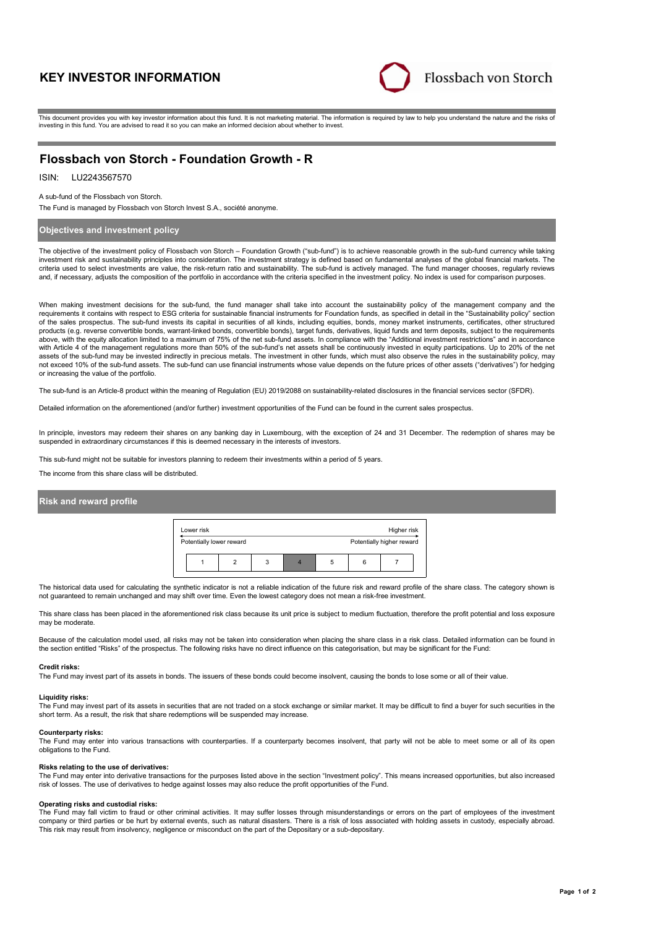# **KEY INVESTOR INFORMATION**



This document provides you with key investor information about this fund. It is not marketing material. The information is required by law to help you understand the nature and the risks of investing in this fund. You are advised to read it so you can make an informed decision about whether to invest.

# **Flossbach von Storch - Foundation Growth - R**

# ISIN: LU2243567570

#### A sub-fund of the Flossbach von Storch.

The Fund is managed by Flossbach von Storch Invest S.A., société anonyme.

### **Objectives and investment policy**

The objective of the investment policy of Flossbach von Storch – Foundation Growth ("sub-fund") is to achieve reasonable growth in the sub-fund currency while taking investment risk and sustainability principles into consideration. The investment strategy is defined based on fundamental analyses of the global financial markets. The criteria used to select investments are value, the risk-return ratio and sustainability. The sub-fund is actively managed. The fund manager chooses, regularly reviews and, if necessary, adjusts the composition of the portfolio in accordance with the criteria specified in the investment policy. No index is used for comparison purposes.

When making investment decisions for the sub-fund, the fund manager shall take into account the sustainability policy of the management company and the requirements it contains with respect to ESG criteria for sustainable financial instruments for Foundation funds, as specified in detail in the "Sustainability policy" section of the sales prospectus. The sub-fund invests its capital in securities of all kinds, including equities, bonds, money market instruments, certificates, other structured products (e.g. reverse convertible bonds, warrant-linked bonds, convertible bonds), target funds, derivatives, liquid funds and term deposits, subject to the requirements above, with the equity allocation limited to a maximum of 75% of the net sub-fund assets. In compliance with the "Additional investment restrictions" and in accordance with Article 4 of the management regulations more than 50% of the sub-fund's net assets shall be continuously invested in equity participations. Up to 20% of the net assets of the sub-fund may be invested indirectly in precious metals. The investment in other funds, which must also observe the rules in the sustainability policy, may not exceed 10% of the sub-fund assets. The sub-fund can use financial instruments whose value depends on the future prices of other assets ("derivatives") for hedging or increasing the value of the portfolio.

The sub-fund is an Article-8 product within the meaning of Regulation (EU) 2019/2088 on sustainability-related disclosures in the financial services sector (SFDR).

Detailed information on the aforementioned (and/or further) investment opportunities of the Fund can be found in the current sales prospectus.

In principle, investors may redeem their shares on any banking day in Luxembourg, with the exception of 24 and 31 December. The redemption of shares may be suspended in extraordinary circumstances if this is deemed necessary in the interests of investors.

This sub-fund might not be suitable for investors planning to redeem their investments within a period of 5 years.

The income from this share class will be distributed.

### **Risk and reward profile**



The historical data used for calculating the synthetic indicator is not a reliable indication of the future risk and reward profile of the share class. The category shown is not guaranteed to remain unchanged and may shift over time. Even the lowest category does not mean a risk-free investment.

This share class has been placed in the aforementioned risk class because its unit price is subject to medium fluctuation, therefore the profit potential and loss exposure may be moderate.

Because of the calculation model used, all risks may not be taken into consideration when placing the share class in a risk class. Detailed information can be found in the section entitled "Risks" of the prospectus. The following risks have no direct influence on this categorisation, but may be significant for the Fund:

#### **Credit risks:**

The Fund may invest part of its assets in bonds. The issuers of these bonds could become insolvent, causing the bonds to lose some or all of their value.

#### **Liquidity risks:**

The Fund may invest part of its assets in securities that are not traded on a stock exchange or similar market. It may be difficult to find a buyer for such securities in the short term. As a result, the risk that share redemptions will be suspended may increase.

#### **Counterparty risks:**

The Fund may enter into various transactions with counterparties. If a counterparty becomes insolvent, that party will not be able to meet some or all of its open obligations to the Fund.

#### **Risks relating to the use of derivatives:**

The Fund may enter into derivative transactions for the purposes listed above in the section "Investment policy". This means increased opportunities, but also increased risk of losses. The use of derivatives to hedge against losses may also reduce the profit opportunities of the Fund.

#### **Operating risks and custodial risks:**

The Fund may fall victim to fraud or other criminal activities. It may suffer losses through misunderstandings or errors on the part of employees of the investment company or third parties or be hurt by external events, such as natural disasters. There is a risk of loss associated with holding assets in custody, especially abroad. This risk may result from insolvency, negligence or misconduct on the part of the Depositary or a sub-depositary.